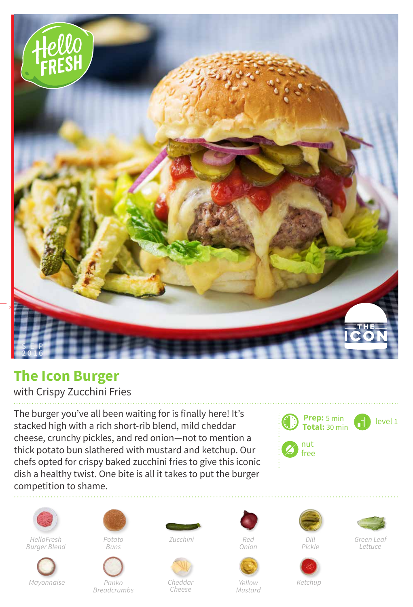

## **The Icon Burger**

## with Crispy Zucchini Fries

The burger you've all been waiting for is finally here! It's stacked high with a rich short-rib blend, mild cheddar cheese, crunchy pickles, and red onion—not to mention a thick potato bun slathered with mustard and ketchup. Our chefs opted for crispy baked zucchini fries to give this iconic dish a healthy twist. One bite is all it takes to put the burger competition to shame.





*HelloFresh Burger Blend*





*Buns*

*Panko Breadcrumbs*





*Cheese*



*Onion*











*Green Leaf Lettuce*

*Yellow Mustard*

*Ketchup*